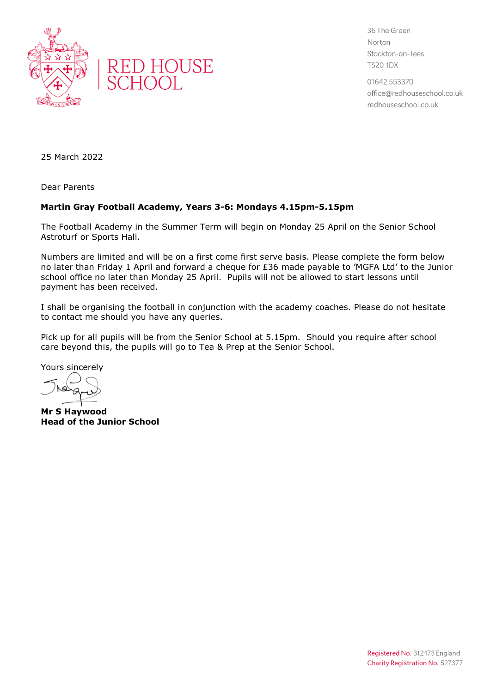



36 The Green Norton Stockton-on-Tees **TS20 1DX** 

01642 553370 office@redhouseschool.co.uk redhouseschool.co.uk

25 March 2022

Dear Parents

## **Martin Gray Football Academy, Years 3-6: Mondays 4.15pm-5.15pm**

The Football Academy in the Summer Term will begin on Monday 25 April on the Senior School Astroturf or Sports Hall.

Numbers are limited and will be on a first come first serve basis. Please complete the form below no later than Friday 1 April and forward a cheque for £36 made payable to 'MGFA Ltd' to the Junior school office no later than Monday 25 April. Pupils will not be allowed to start lessons until payment has been received.

I shall be organising the football in conjunction with the academy coaches. Please do not hesitate to contact me should you have any queries.

Pick up for all pupils will be from the Senior School at 5.15pm. Should you require after school care beyond this, the pupils will go to Tea & Prep at the Senior School.

Yours sincerely

**Mr S Haywood Head of the Junior School**